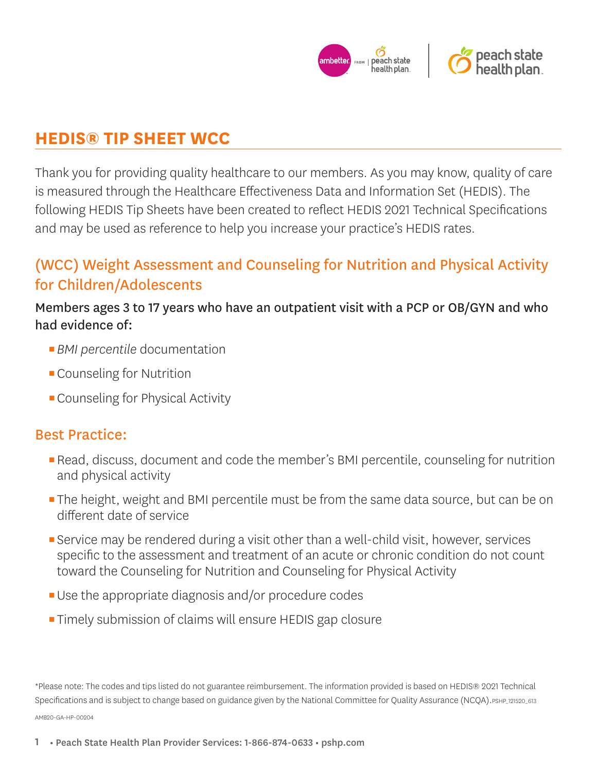

# **HEDIS® TIP SHEET WCC**

Thank you for providing quality healthcare to our members. As you may know, quality of care is measured through the Healthcare Effectiveness Data and Information Set (HEDIS). The following HEDIS Tip Sheets have been created to reflect HEDIS 2021 Technical Specifications and may be used as reference to help you increase your practice's HEDIS rates.

# (WCC) Weight Assessment and Counseling for Nutrition and Physical Activity for Children/Adolescents

Members ages 3 to 17 years who have an outpatient visit with a PCP or OB/GYN and who had evidence of:

- *BMI percentile* documentation
- **Counseling for Nutrition**
- **Counseling for Physical Activity**

## Best Practice:

- **Read, discuss, document and code the member's BMI percentile, counseling for nutrition** and physical activity
- **The height, weight and BMI percentile must be from the same data source, but can be on** different date of service
- **E** Service may be rendered during a visit other than a well-child visit, however, services specific to the assessment and treatment of an acute or chronic condition do not count toward the Counseling for Nutrition and Counseling for Physical Activity
- Use the appropriate diagnosis and/or procedure codes
- **Timely submission of claims will ensure HEDIS gap closure**

\*Please note: The codes and tips listed do not guarantee reimbursement. The information provided is based on HEDIS® 2021 Technical Specifications and is subject to change based on guidance given by the National Committee for Quality Assurance (NCQA).PSHP\_121520\_613 AMB20-GA-HP-00204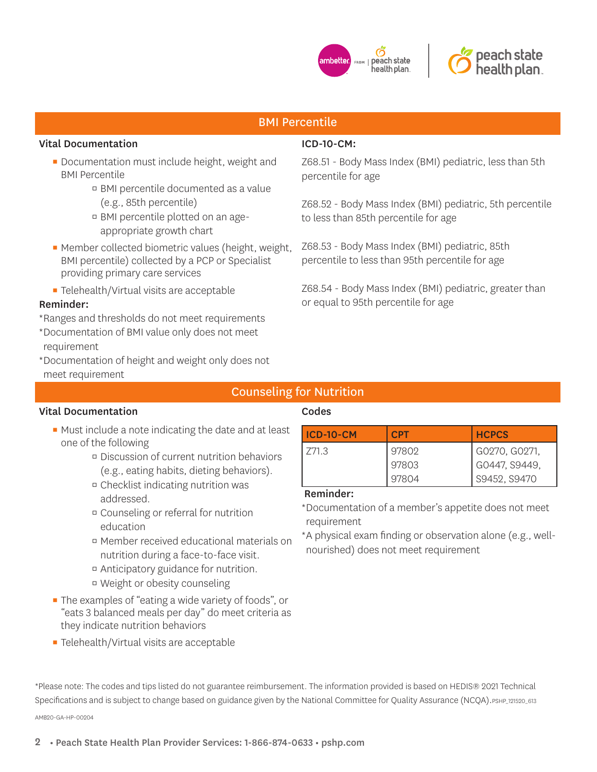



## BMI Percentile

#### Vital Documentation

- **Documentation must include height, weight and** BMI Percentile
	- BMI percentile documented as a value (e.g., 85th percentile)
	- BMI percentile plotted on an ageappropriate growth chart
- Member collected biometric values (height, weight, BMI percentile) collected by a PCP or Specialist providing primary care services
- **EXEC** Telehealth/Virtual visits are acceptable

#### Reminder:

- \* Ranges and thresholds do not meet requirements
- \* Documentation of BMI value only does not meet requirement
- \* Documentation of height and weight only does not meet requirement

## ICD-10-CM:

Z68.51 - Body Mass Index (BMI) pediatric, less than 5th percentile for age

Z68.52 - Body Mass Index (BMI) pediatric, 5th percentile to less than 85th percentile for age

Z68.53 - Body Mass Index (BMI) pediatric, 85th percentile to less than 95th percentile for age

Z68.54 - Body Mass Index (BMI) pediatric, greater than or equal to 95th percentile for age

## Counseling for Nutrition

### Vital Documentation

## Codes

- Must include a note indicating the date and at least one of the following
	- Discussion of current nutrition behaviors (e.g., eating habits, dieting behaviors).
	- Checklist indicating nutrition was addressed.
	- Counseling or referral for nutrition education
	- Member received educational materials on nutrition during a face-to-face visit.
	- Anticipatory guidance for nutrition.
	- Weight or obesity counseling
- **The examples of "eating a wide variety of foods", or** "eats 3 balanced meals per day" do meet criteria as they indicate nutrition behaviors
- **EXEC** Telehealth/Virtual visits are acceptable

| ICD-10-CM | <b>CPT</b> | <b>HCPCS</b>  |
|-----------|------------|---------------|
| 771.3     | 97802      | G0270, G0271, |
|           | 97803      | G0447. S9449. |
|           | 97804      | S9452, S9470  |

#### Reminder:

\* Documentation of a member's appetite does not meet requirement

\* A physical exam finding or observation alone (e.g., wellnourished) does not meet requirement

\*Please note: The codes and tips listed do not guarantee reimbursement. The information provided is based on HEDIS® 2021 Technical Specifications and is subject to change based on guidance given by the National Committee for Ouality Assurance (NCOA). PSHP\_121520\_613 AMB20-GA-HP-00204